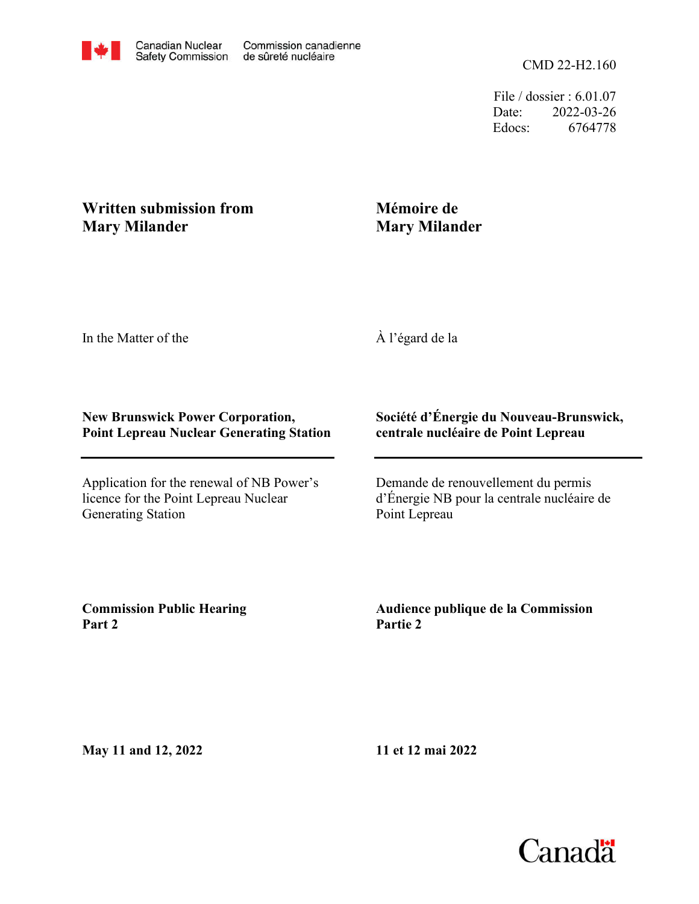File / dossier : 6.01.07 Date: 2022-03-26 Edocs: 6764778

## **Written submission from Mary Milander**

## **Mémoire de Mary Milander**

In the Matter of the

À l'égard de la

## **New Brunswick Power Corporation, Point Lepreau Nuclear Generating Station**

Application for the renewal of NB Power's licence for the Point Lepreau Nuclear Generating Station

## **Société d'Énergie du Nouveau-Brunswick, centrale nucléaire de Point Lepreau**

Demande de renouvellement du permis d'Énergie NB pour la centrale nucléaire de Point Lepreau

**Commission Public Hearing Part 2**

**Audience publique de la Commission Partie 2**

**May 11 and 12, 2022**

**11 et 12 mai 2022**

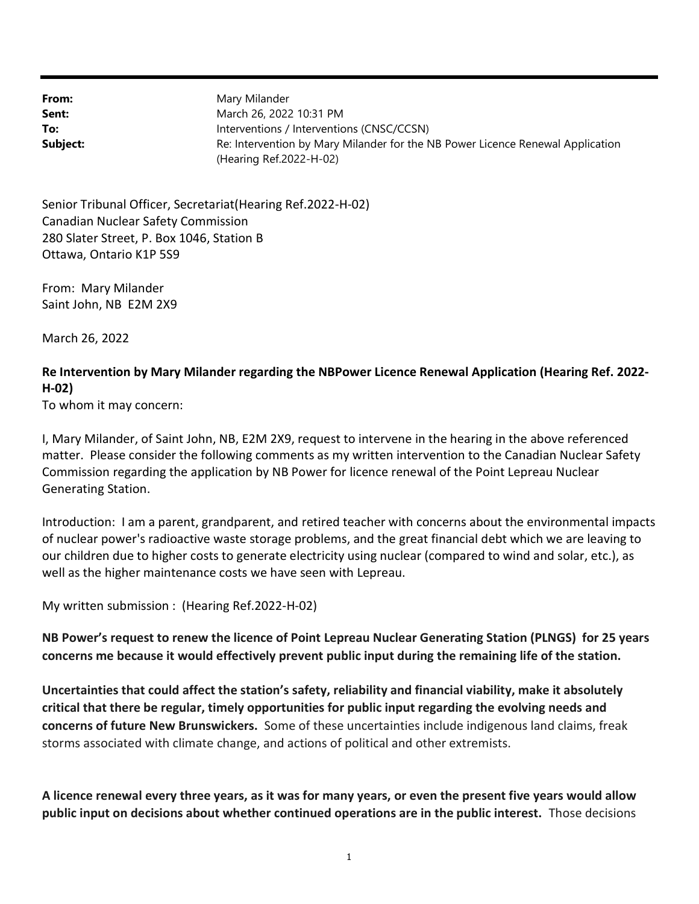From: Sent: To: Subject: (Hearing Ref.2022-H-02) Re: Intervention by Mary Milander for the NB Power Licence Renewal Application Interventions / Interventions (CNSC/CCSN) March 26, 2022 10:31 PM Mary Milander

Ottawa, Ontario K1P 5S9 280 Slater Street, P. Box 1046, Station B Canadian Nuclear Safety Commission Senior Tribunal Officer, Secretariat(Hearing Ref.2022-H-02)

Saint John, NB E2M 2X9 From: Mary Milander

March 26, 2022

H-02) Re Intervention by Mary Milander regarding the NBPower Licence Renewal Application (Hearing Ref. 2022-

To whom it may concern:

Generating Station. Commission regarding the application by NB Power for licence renewal of the Point Lepreau Nuclear matter. Please consider the following comments as my written intervention to the Canadian Nuclear Safety I, Mary Milander, of Saint John, NB, E2M 2X9, request to intervene in the hearing in the above referenced

well as the higher maintenance costs we have seen with Lepreau. our children due to higher costs to generate electricity using nuclear (compared to wind and solar, etc.), as of nuclear power's radioactive waste storage problems, and the great financial debt which we are leaving to Introduction: I am a parent, grandparent, and retired teacher with concerns about the environmental impacts

My written submission : (Hearing Ref.2022-H-02)

concerns me because it would effectively prevent public input during the remaining life of the station. NB Power's request to renew the licence of Point Lepreau Nuclear Generating Station (PLNGS) for 25 years

storms associated with climate change, and actions of political and other extremists. concerns of future New Brunswickers. Some of these uncertainties include indigenous land claims, freak critical that there be regular, timely opportunities for public input regarding the evolving needs and Uncertainties that could affect the station's safety, reliability and financial viability, make it absolutely

public input on decisions about whether continued operations are in the public interest. Those decisions A licence renewal every three years, as it was for many years, or even the present five years would allow